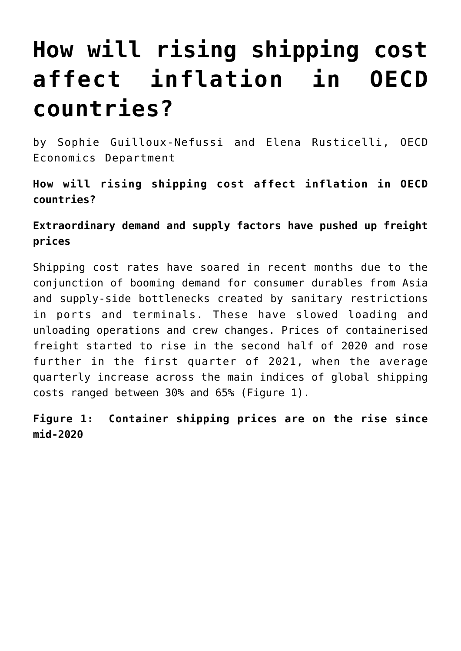## **[How will rising shipping cost](https://oecdecoscope.blog/2021/06/19/how-will-rising-shipping-cost-affect-inflation-in-oecd-countries/) [affect inflation in OECD](https://oecdecoscope.blog/2021/06/19/how-will-rising-shipping-cost-affect-inflation-in-oecd-countries/) [countries?](https://oecdecoscope.blog/2021/06/19/how-will-rising-shipping-cost-affect-inflation-in-oecd-countries/)**

by Sophie Guilloux-Nefussi and Elena Rusticelli, OECD Economics Department

**How will rising shipping cost affect inflation in OECD countries?**

**Extraordinary demand and supply factors have pushed up freight prices**

Shipping cost rates have soared in recent months due to the conjunction of booming demand for consumer durables from Asia and supply-side bottlenecks created by sanitary restrictions in ports and terminals. These have slowed loading and unloading operations and crew changes. Prices of containerised freight started to rise in the second half of 2020 and rose further in the first quarter of 2021, when the average quarterly increase across the main indices of global shipping costs ranged between 30% and 65% (Figure 1).

**Figure 1: Container shipping prices are on the rise since mid-2020**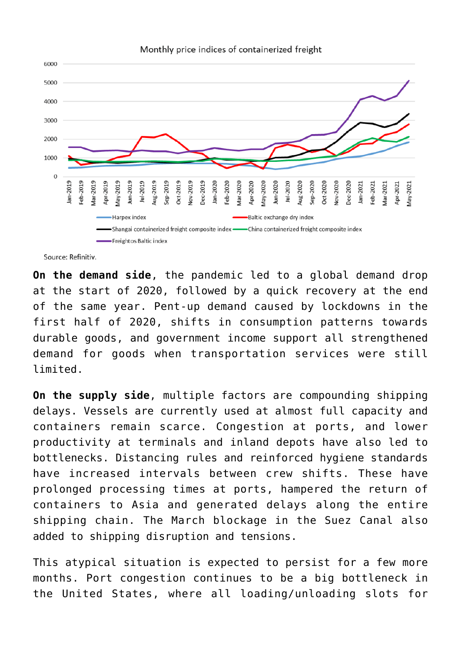

Source: Refinitiv.

**On the demand side**, the pandemic led to a global demand drop at the start of 2020, followed by a quick recovery at the end of the same year. Pent-up demand caused by lockdowns in the first half of 2020, shifts in consumption patterns towards durable goods, and government income support all strengthened demand for goods when transportation services were still limited.

**On the supply side**, multiple factors are compounding shipping delays. Vessels are currently used at almost full capacity and containers remain scarce. Congestion at ports, and lower productivity at terminals and inland depots have also led to bottlenecks. Distancing rules and reinforced hygiene standards have increased intervals between crew shifts. These have prolonged processing times at ports, hampered the return of containers to Asia and generated delays along the entire shipping chain. The March blockage in the Suez Canal also added to shipping disruption and tensions.

This atypical situation is expected to persist for a few more months. Port congestion continues to be a big bottleneck in the United States, where all loading/unloading slots for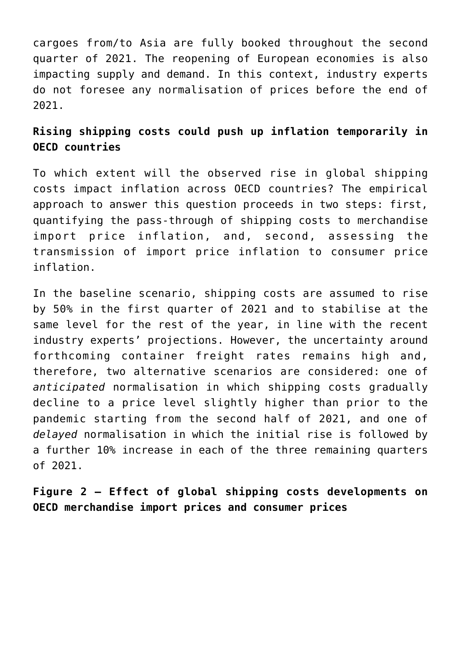cargoes from/to Asia are fully booked throughout the second quarter of 2021. The reopening of European economies is also impacting supply and demand. In this context, industry experts do not foresee any normalisation of prices before the end of 2021.

## **Rising shipping costs could push up inflation temporarily in OECD countries**

To which extent will the observed rise in global shipping costs impact inflation across OECD countries? The empirical approach to answer this question proceeds in two steps: first, quantifying the pass-through of shipping costs to merchandise import price inflation, and, second, assessing the transmission of import price inflation to consumer price inflation.

In the baseline scenario, shipping costs are assumed to rise by 50% in the first quarter of 2021 and to stabilise at the same level for the rest of the year, in line with the recent industry experts' projections. However, the uncertainty around forthcoming container freight rates remains high and, therefore, two alternative scenarios are considered: one of *anticipated* normalisation in which shipping costs gradually decline to a price level slightly higher than prior to the pandemic starting from the second half of 2021, and one of *delayed* normalisation in which the initial rise is followed by a further 10% increase in each of the three remaining quarters of 2021.

**Figure 2 – Effect of global shipping costs developments on OECD merchandise import prices and consumer prices**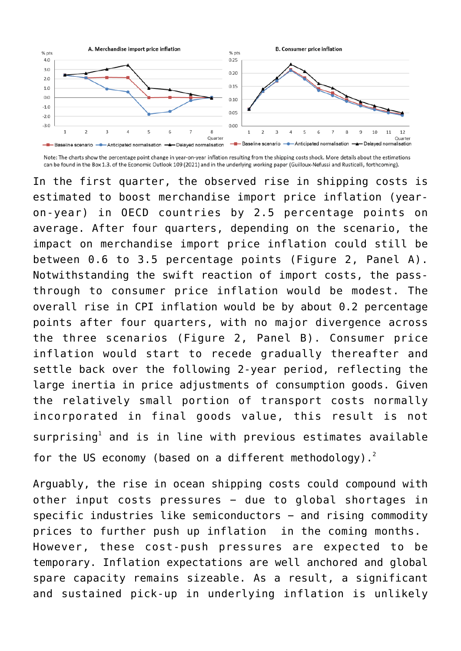

Note: The charts show the percentage point change in year-on-year inflation resulting from the shipping costs shock. More details about the estimations can be found in the Box 1.3. of the Economic Outlook 109 (2021) and in the underlying working paper (Guilloux-Nefussi and Rusticelli, forthcoming).

In the first quarter, the observed rise in shipping costs is estimated to boost merchandise import price inflation (yearon-year) in OECD countries by 2.5 percentage points on average. After four quarters, depending on the scenario, the impact on merchandise import price inflation could still be between 0.6 to 3.5 percentage points (Figure 2, Panel A). Notwithstanding the swift reaction of import costs, the passthrough to consumer price inflation would be modest. The overall rise in CPI inflation would be by about 0.2 percentage points after four quarters, with no major divergence across the three scenarios (Figure 2, Panel B). Consumer price inflation would start to recede gradually thereafter and settle back over the following 2-year period, reflecting the large inertia in price adjustments of consumption goods, Given the relatively small portion of transport costs normally incorporated in final goods value, this result is not surprising<sup>[1](#page--1-0)</sup> and is in line with previous estimates available for the US economy (based on a different methodology).<sup>[2](#page--1-0)</sup>

Arguably, the rise in ocean shipping costs could compound with other input costs pressures − due to global shortages in specific industries like semiconductors – and rising commodity prices to further push up inflation in the coming months. However, these cost-push pressures are expected to be temporary. Inflation expectations are well anchored and global spare capacity remains sizeable. As a result, a significant and sustained pick-up in underlying inflation is unlikely